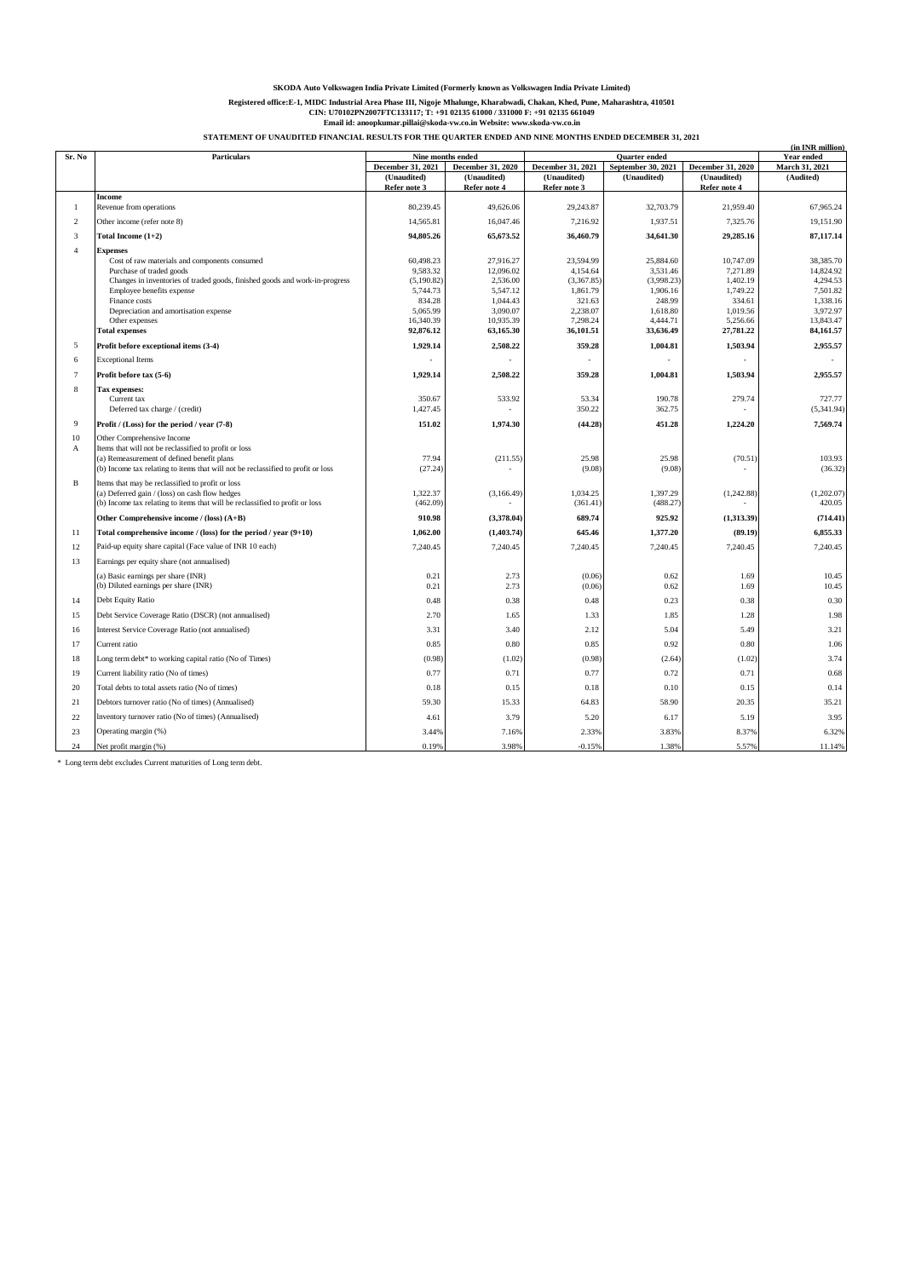# **SKODA Auto Volkswagen India Private Limited (Formerly known as Volkswagen India Private Limited)** Registered office:E-1, MIDC Industrial Area Phase III, Nigoje Mhalunge, Kharabwadi, Chakan, Khed, Pune, Maharashtra, 410501<br>CIN: U70102PN2007FTC133117; T: +91 02138 51000 / 331000 F: +91 02135 661049<br>Email id: anoopkumar.p

**STATEMENT OF UNAUDITED FINANCIAL RESULTS FOR THE QUARTER ENDED AND NINE MONTHS ENDED DECEMBER 31, 2021**

|                |                                                                                                                                                                                                                                                                                                               |                                                                                                  |                                                                                                  |                                                                                                |                                                                                                |                                                                                              | (in INR million)                                                                                 |
|----------------|---------------------------------------------------------------------------------------------------------------------------------------------------------------------------------------------------------------------------------------------------------------------------------------------------------------|--------------------------------------------------------------------------------------------------|--------------------------------------------------------------------------------------------------|------------------------------------------------------------------------------------------------|------------------------------------------------------------------------------------------------|----------------------------------------------------------------------------------------------|--------------------------------------------------------------------------------------------------|
| Sr. No         | <b>Particulars</b>                                                                                                                                                                                                                                                                                            | Nine months ended                                                                                |                                                                                                  | <b>Quarter</b> ended                                                                           |                                                                                                |                                                                                              | Year ended                                                                                       |
|                |                                                                                                                                                                                                                                                                                                               | December 31, 2021                                                                                | December 31, 2020                                                                                | December 31, 2021                                                                              | September 30, 2021                                                                             | December 31, 2020                                                                            | March 31, 2021                                                                                   |
|                |                                                                                                                                                                                                                                                                                                               | (Unaudited)                                                                                      | (Unaudited)                                                                                      | (Unaudited)                                                                                    | (Unaudited)                                                                                    | (Unaudited)                                                                                  | (Audited)                                                                                        |
|                | Income                                                                                                                                                                                                                                                                                                        | Refer note 3                                                                                     | Refer note 4                                                                                     | Refer note 3                                                                                   |                                                                                                | Refer note 4                                                                                 |                                                                                                  |
| $\mathbf{1}$   | Revenue from operations                                                                                                                                                                                                                                                                                       | 80,239.45                                                                                        | 49,626.06                                                                                        | 29,243.87                                                                                      | 32,703.79                                                                                      | 21,959.40                                                                                    | 67,965.24                                                                                        |
| $\overline{2}$ | Other income (refer note 8)                                                                                                                                                                                                                                                                                   | 14,565.81                                                                                        | 16,047.46                                                                                        | 7,216.92                                                                                       | 1,937.51                                                                                       | 7,325.76                                                                                     | 19,151.90                                                                                        |
| $\mathbf{3}$   | Total Income (1+2)                                                                                                                                                                                                                                                                                            | 94,805.26                                                                                        | 65,673.52                                                                                        | 36,460.79                                                                                      | 34,641.30                                                                                      | 29,285.16                                                                                    | 87,117.14                                                                                        |
| $\overline{4}$ | <b>Expenses</b><br>Cost of raw materials and components consumed<br>Purchase of traded goods<br>Changes in inventories of traded goods, finished goods and work-in-progress<br>Employee benefits expense<br>Finance costs<br>Depreciation and amortisation expense<br>Other expenses<br><b>Total expenses</b> | 60,498.23<br>9,583.32<br>(5, 190.82)<br>5,744.73<br>834.28<br>5,065.99<br>16,340.39<br>92,876.12 | 27,916.27<br>12,096.02<br>2,536.00<br>5,547.12<br>1,044.43<br>3,090.07<br>10,935.39<br>63,165.30 | 23,594.99<br>4,154.64<br>(3,367.85)<br>1,861.79<br>321.63<br>2,238.07<br>7,298.24<br>36,101.51 | 25,884.60<br>3,531.46<br>(3,998.23)<br>1,906.16<br>248.99<br>1,618.80<br>4,444.71<br>33,636.49 | 10,747.09<br>7,271.89<br>1,402.19<br>1,749.22<br>334.61<br>1,019.56<br>5,256.66<br>27,781.22 | 38,385.70<br>14,824.92<br>4,294.53<br>7,501.82<br>1,338.16<br>3,972.97<br>13,843.47<br>84,161.57 |
| 5              | Profit before exceptional items (3-4)                                                                                                                                                                                                                                                                         | 1,929.14                                                                                         | 2,508.22                                                                                         | 359.28                                                                                         | 1,004.81                                                                                       | 1,503.94                                                                                     | 2,955.57                                                                                         |
| 6              | <b>Exceptional Items</b>                                                                                                                                                                                                                                                                                      |                                                                                                  |                                                                                                  |                                                                                                |                                                                                                |                                                                                              |                                                                                                  |
| $\overline{7}$ | Profit before tax (5-6)                                                                                                                                                                                                                                                                                       | 1,929.14                                                                                         | 2,508.22                                                                                         | 359.28                                                                                         | 1,004.81                                                                                       | 1,503.94                                                                                     | 2,955.57                                                                                         |
| 8              | Tax expenses:<br>Current tax<br>Deferred tax charge / (credit)                                                                                                                                                                                                                                                | 350.67<br>1,427.45                                                                               | 533.92                                                                                           | 53.34<br>350.22                                                                                | 190.78<br>362.75                                                                               | 279.74                                                                                       | 727.77<br>(5,341.94)                                                                             |
| 9              | Profit / (Loss) for the period / year (7-8)                                                                                                                                                                                                                                                                   | 151.02                                                                                           | 1,974.30                                                                                         | (44.28)                                                                                        | 451.28                                                                                         | 1,224.20                                                                                     | 7,569.74                                                                                         |
| 10<br>A        | Other Comprehensive Income<br>Items that will not be reclassified to profit or loss<br>(a) Remeasurement of defined benefit plans<br>(b) Income tax relating to items that will not be reclassified to profit or loss                                                                                         | 77.94<br>(27.24)                                                                                 | (211.55)                                                                                         | 25.98<br>(9.08)                                                                                | 25.98<br>(9.08)                                                                                | (70.51)                                                                                      | 103.93<br>(36.32)                                                                                |
| B              | Items that may be reclassified to profit or loss<br>(a) Deferred gain / (loss) on cash flow hedges<br>(b) Income tax relating to items that will be reclassified to profit or loss                                                                                                                            | 1.322.37<br>(462.09)                                                                             | (3,166.49)                                                                                       | 1.034.25<br>(361.41)                                                                           | 1.397.29<br>(488.27)                                                                           | (1,242.88)                                                                                   | (1,202.07)<br>420.05                                                                             |
|                | Other Comprehensive income / (loss) (A+B)                                                                                                                                                                                                                                                                     | 910.98                                                                                           | (3,378.04)                                                                                       | 689.74                                                                                         | 925.92                                                                                         | (1,313.39)                                                                                   | (714.41)                                                                                         |
| 11             | Total comprehensive income / (loss) for the period / year $(9+10)$                                                                                                                                                                                                                                            | 1,062.00                                                                                         | (1, 403.74)                                                                                      | 645.46                                                                                         | 1,377.20                                                                                       | (89.19)                                                                                      | 6,855.33                                                                                         |
| 12             | Paid-up equity share capital (Face value of INR 10 each)                                                                                                                                                                                                                                                      | 7,240.45                                                                                         | 7,240.45                                                                                         | 7,240.45                                                                                       | 7,240.45                                                                                       | 7,240.45                                                                                     | 7,240.45                                                                                         |
| 13             | Earnings per equity share (not annualised)                                                                                                                                                                                                                                                                    |                                                                                                  |                                                                                                  |                                                                                                |                                                                                                |                                                                                              |                                                                                                  |
|                | (a) Basic earnings per share (INR)<br>(b) Diluted earnings per share (INR)                                                                                                                                                                                                                                    | 0.21<br>0.21                                                                                     | 2.73<br>2.73                                                                                     | (0.06)<br>(0.06)                                                                               | 0.62<br>0.62                                                                                   | 1.69<br>1.69                                                                                 | 10.45<br>10.45                                                                                   |
| 14             | Debt Equity Ratio                                                                                                                                                                                                                                                                                             | 0.48                                                                                             | 0.38                                                                                             | 0.48                                                                                           | 0.23                                                                                           | 0.38                                                                                         | 0.30                                                                                             |
| 15             | Debt Service Coverage Ratio (DSCR) (not annualised)                                                                                                                                                                                                                                                           | 2.70                                                                                             | 1.65                                                                                             | 1.33                                                                                           | 1.85                                                                                           | 1.28                                                                                         | 1.98                                                                                             |
| 16             | Interest Service Coverage Ratio (not annualised)                                                                                                                                                                                                                                                              | 3.31                                                                                             | 3.40                                                                                             | 2.12                                                                                           | 5.04                                                                                           | 5.49                                                                                         | 3.21                                                                                             |
| 17             | Current ratio                                                                                                                                                                                                                                                                                                 | 0.85                                                                                             | 0.80                                                                                             | 0.85                                                                                           | 0.92                                                                                           | 0.80                                                                                         | 1.06                                                                                             |
| 18             | Long term debt* to working capital ratio (No of Times)                                                                                                                                                                                                                                                        | (0.98)                                                                                           | (1.02)                                                                                           | (0.98)                                                                                         | (2.64)                                                                                         | (1.02)                                                                                       | 3.74                                                                                             |
| 19             | Current liability ratio (No of times)                                                                                                                                                                                                                                                                         | 0.77                                                                                             | 0.71                                                                                             | 0.77                                                                                           | 0.72                                                                                           | 0.71                                                                                         | 0.68                                                                                             |
| 20             | Total debts to total assets ratio (No of times)                                                                                                                                                                                                                                                               | 0.18                                                                                             | 0.15                                                                                             | 0.18                                                                                           | 0.10                                                                                           | 0.15                                                                                         | 0.14                                                                                             |
| 21             | Debtors turnover ratio (No of times) (Annualised)                                                                                                                                                                                                                                                             | 59.30                                                                                            | 15.33                                                                                            | 64.83                                                                                          | 58.90                                                                                          | 20.35                                                                                        | 35.21                                                                                            |
| 22             | Inventory turnover ratio (No of times) (Annualised)                                                                                                                                                                                                                                                           | 4.61                                                                                             | 3.79                                                                                             | 5.20                                                                                           | 6.17                                                                                           | 5.19                                                                                         | 3.95                                                                                             |
| 23             | Operating margin (%)                                                                                                                                                                                                                                                                                          | 3.44%                                                                                            | 7.16%                                                                                            | 2.33%                                                                                          | 3.83%                                                                                          | 8.37%                                                                                        | 6.32%                                                                                            |
| 24             | Net profit margin (%)                                                                                                                                                                                                                                                                                         | 0.19%                                                                                            | 3.98%                                                                                            | $-0.15%$                                                                                       | 1.38%                                                                                          | 5.57%                                                                                        | 11.14%                                                                                           |

 $\,^*$  Long term debt excludes Current maturities of Long term debt.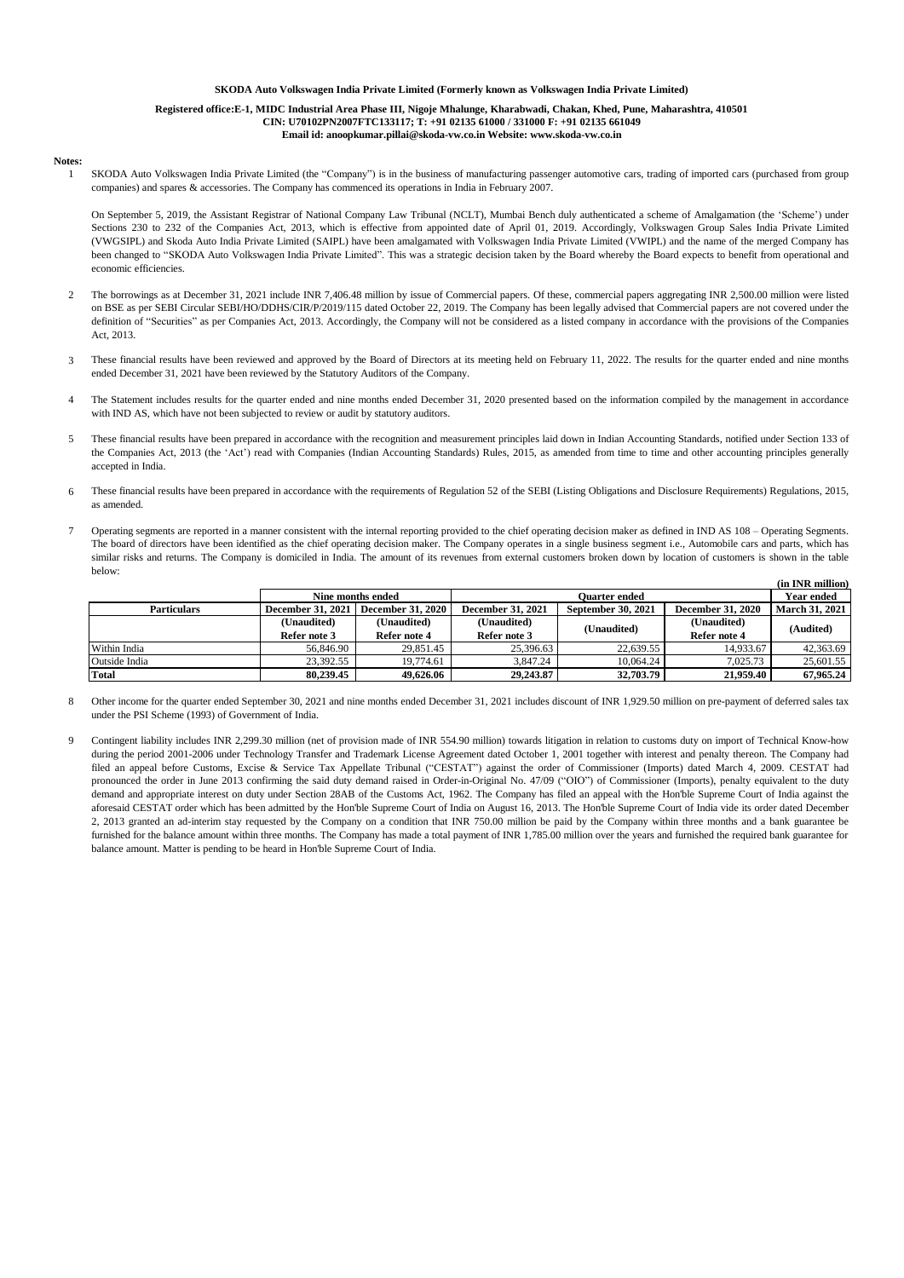# **SKODA Auto Volkswagen India Private Limited (Formerly known as Volkswagen India Private Limited)**

## **Registered office:E-1, MIDC Industrial Area Phase III, Nigoje Mhalunge, Kharabwadi, Chakan, Khed, Pune, Maharashtra, 410501 CIN: U70102PN2007FTC133117; T: +91 02135 61000 / 331000 F: +91 02135 661049**

### **Email id: anoopkumar.pillai@skoda-vw.co.in Website: www.skoda-vw.co.in**

#### **Notes:** 1

SKODA Auto Volkswagen India Private Limited (the "Company") is in the business of manufacturing passenger automotive cars, trading of imported cars (purchased from group companies) and spares & accessories. The Company has commenced its operations in India in February 2007.

On September 5, 2019, the Assistant Registrar of National Company Law Tribunal (NCLT), Mumbai Bench duly authenticated a scheme of Amalgamation (the 'Scheme') under Sections 230 to 232 of the Companies Act, 2013, which is effective from appointed date of April 01, 2019. Accordingly, Volkswagen Group Sales India Private Limited (VWGSIPL) and Skoda Auto India Private Limited (SAIPL) have been amalgamated with Volkswagen India Private Limited (VWIPL) and the name of the merged Company has been changed to "SKODA Auto Volkswagen India Private Limited". This was a strategic decision taken by the Board whereby the Board expects to benefit from operational and economic efficiencies.

- 2 The borrowings as at December 31, 2021 include INR 7,406.48 million by issue of Commercial papers. Of these, commercial papers aggregating INR 2,500.00 million were listed on BSE as per SEBI Circular SEBI/HO/DDHS/CIR/P/2019/115 dated October 22, 2019. The Company has been legally advised that Commercial papers are not covered under the definition of "Securities" as per Companies Act, 2013. Accordingly, the Company will not be considered as a listed company in accordance with the provisions of the Companies Act, 2013.
- 3 These financial results have been reviewed and approved by the Board of Directors at its meeting held on February 11, 2022. The results for the quarter ended and nine months ended December 31, 2021 have been reviewed by the Statutory Auditors of the Company.
- 4 The Statement includes results for the quarter ended and nine months ended December 31, 2020 presented based on the information compiled by the management in accordance with IND AS, which have not been subjected to review or audit by statutory auditors.
- 5 These financial results have been prepared in accordance with the recognition and measurement principles laid down in Indian Accounting Standards, notified under Section 133 of the Companies Act, 2013 (the 'Act') read with Companies (Indian Accounting Standards) Rules, 2015, as amended from time to time and other accounting principles generally accepted in India.
- 6 These financial results have been prepared in accordance with the requirements of Regulation 52 of the SEBI (Listing Obligations and Disclosure Requirements) Regulations, 2015, as amended.
- 7 **(in INR million)** Operating segments are reported in a manner consistent with the internal reporting provided to the chief operating decision maker as defined in IND AS 108 – Operating Segments. The board of directors have been identified as the chief operating decision maker. The Company operates in a single business segment i.e., Automobile cars and parts, which has similar risks and returns. The Company is domiciled in India. The amount of its revenues from external customers broken down by location of customers is shown in the table below:

|                    |                                                 |              |                          |                           | чи пук ишноп             |                       |
|--------------------|-------------------------------------------------|--------------|--------------------------|---------------------------|--------------------------|-----------------------|
|                    | Nine months ended                               |              |                          | Year ended                |                          |                       |
| <b>Particulars</b> | <b>December 31, 2021</b><br>December 31, 2020 1 |              | <b>December 31, 2021</b> | <b>September 30, 2021</b> | <b>December 31, 2020</b> | <b>March 31, 2021</b> |
|                    | (Unaudited)                                     | (Unaudited)  | (Unaudited)              |                           | (Unaudited)              | (Audited)             |
|                    | Refer note 3                                    | Refer note 4 | Refer note 3             | (Unaudited)               | Refer note 4             |                       |
| Within India       | 56,846.90                                       | 29,851.45    | 25,396.63                | 22,639.55                 | 14,933.67                | 42,363.69             |
| Outside India      | 23.392.55                                       | 19,774.61    | 3.847.24                 | 10.064.24                 | 7.025.73                 | 25,601.55             |
| <b>Total</b>       | 80,239,45                                       | 49,626.06    | 29,243,87                | 32,703.79                 | 21.959.40                | 67.965.24             |

8 Other income for the quarter ended September 30, 2021 and nine months ended December 31, 2021 includes discount of INR 1,929.50 million on pre-payment of deferred sales tax under the PSI Scheme (1993) of Government of India.

9 Contingent liability includes INR 2,299.30 million (net of provision made of INR 554.90 million) towards litigation in relation to customs duty on import of Technical Know-how during the period 2001-2006 under Technology Transfer and Trademark License Agreement dated October 1, 2001 together with interest and penalty thereon. The Company had filed an appeal before Customs, Excise & Service Tax Appellate Tribunal ("CESTAT") against the order of Commissioner (Imports) dated March 4, 2009. CESTAT had pronounced the order in June 2013 confirming the said duty demand raised in Order-in-Original No. 47/09 ("OIO") of Commissioner (Imports), penalty equivalent to the duty demand and appropriate interest on duty under Section 28AB of the Customs Act, 1962. The Company has filed an appeal with the Hon'ble Supreme Court of India against the aforesaid CESTAT order which has been admitted by the Hon'ble Supreme Court of India on August 16, 2013. The Hon'ble Supreme Court of India vide its order dated December 2, 2013 granted an ad-interim stay requested by the Company on a condition that INR 750.00 million be paid by the Company within three months and a bank guarantee be furnished for the balance amount within three months. The Company has made a total payment of INR 1,785.00 million over the years and furnished the required bank guarantee for balance amount. Matter is pending to be heard in Hon'ble Supreme Court of India.